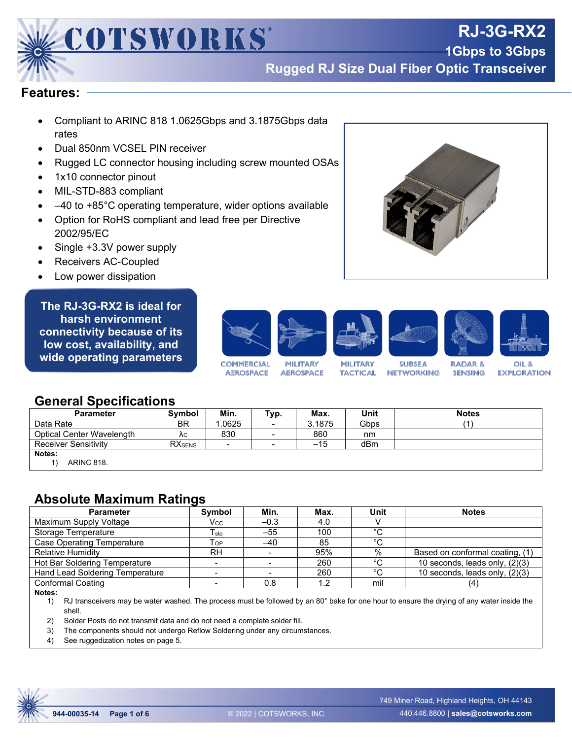

**1Gbps to 3Gbps Rugged RJ Size Dual Fiber Optic Transceiver**

**RJ-3G-RX2**

#### **Features:**

- Compliant to ARINC 818 1.0625Gbps and 3.1875Gbps data rates
- Dual 850nm VCSEL PIN receiver
- Rugged LC connector housing including screw mounted OSAs
- 1x10 connector pinout
- MIL-STD-883 compliant
- $\bullet$   $-40$  to +85°C operating temperature, wider options available
- Option for RoHS compliant and lead free per Directive 2002/95/EC
- Single +3.3V power supply
- Receivers AC-Coupled
- Low power dissipation

**The RJ-3G-RX2 is ideal for harsh environment connectivity because of its low cost, availability, and wide operating parameters**



## **General Specifications**

| <b>Parameter</b>                 | <b>Symbol</b>  | Min.   | ™ур.                     | Max.   | Unit | <b>Notes</b> |
|----------------------------------|----------------|--------|--------------------------|--------|------|--------------|
| Data Rate                        | <b>BR</b>      | 1.0625 | $\overline{\phantom{a}}$ | 3.1875 | Gbps |              |
| <b>Optical Center Wavelength</b> | ΛC             | 830    | $\overline{\phantom{0}}$ | 860    | nm   |              |
| <b>Receiver Sensitivity</b>      | <b>RX</b> SENS |        | $\overline{\phantom{a}}$ | $-15$  | dBm  |              |
| Notes:<br><b>ARINC 818.</b>      |                |        |                          |        |      |              |

# **Absolute Maximum Ratings**

| Symbol                       | Min.   | Max. | Unit   | <b>Notes</b>                    |
|------------------------------|--------|------|--------|---------------------------------|
| Vcc                          | $-0.3$ | 4.0  |        |                                 |
| I sto                        | $-55$  | 100  | $\sim$ |                                 |
| $\mathsf{T}_{\mathsf{OP}}$ . | -40    | 85   | $\sim$ |                                 |
| <b>RH</b>                    |        | 95%  | %      | Based on conformal coating, (1) |
|                              |        | 260  | $\sim$ | 10 seconds, leads only, (2)(3)  |
|                              |        | 260  | $\sim$ | 10 seconds, leads only, (2)(3)  |
|                              | 0.8    | 1.2  | mil    | (4                              |
|                              |        |      |        |                                 |

**Notes:**

RJ transceivers may be water washed. The process must be followed by an 80° bake for one hour to ensure the drying of any water inside the shell.

2) Solder Posts do not transmit data and do not need a complete solder fill.

3) The components should not undergo Reflow Soldering under any circumstances.

4) See ruggedization notes on page 5.

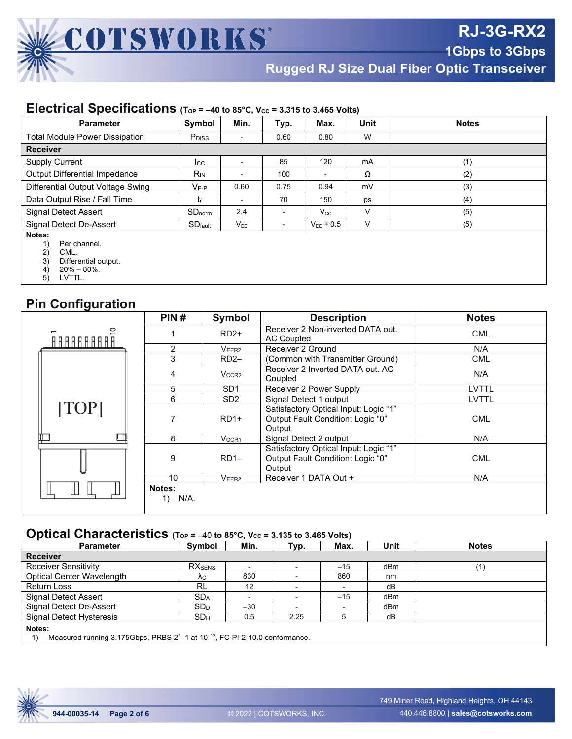

**1Gbps to 3Gbps**

**Rugged RJ Size Dual Fiber Optic Transceiver**

#### **Electrical Specifications** ( $ToP = -40$  to 85°C,  $V_{CC} = 3.315$  to 3.465 Volts)

| <b>Parameter</b>                                                                            | Symbol                   | Min.                       | Typ.   | Max.                     | Unit | <b>Notes</b> |
|---------------------------------------------------------------------------------------------|--------------------------|----------------------------|--------|--------------------------|------|--------------|
| <b>Total Module Power Dissipation</b>                                                       | <b>P</b> <sub>DISS</sub> | $\overline{\phantom{0}}$   | 0.60   | 0.80                     | W    |              |
| <b>Receiver</b>                                                                             |                          |                            |        |                          |      |              |
| <b>Supply Current</b>                                                                       | Icc                      |                            | 85     | 120                      | mA   | (1)          |
| Output Differential Impedance                                                               | $R_{IN}$                 |                            | 100    | $\overline{\phantom{a}}$ | Ω    | (2)          |
| Differential Output Voltage Swing                                                           | $V_{P-P}$                | 0.60                       | 0.75   | 0.94                     | mV   | (3)          |
| Data Output Rise / Fall Time                                                                | t,                       |                            | 70     | 150                      | ps   | (4)          |
| Signal Detect Assert                                                                        | $SD_{norm}$              | 2.4                        | $\sim$ | $V_{\rm CC}$             | V    | (5)          |
| Signal Detect De-Assert                                                                     | $SD$ fault               | $\mathsf{V}_{\mathsf{EE}}$ | ۰.     | $V_{FE}$ + 0.5           | V    | (5)          |
| Notes:<br>Per channel.<br>2)<br>CML.<br>3)<br>Differential output.<br>$20\% - 80\%$ .<br>4) |                          |                            |        |                          |      |              |

5) LVTTL.

# **Pin Configuration**

|                                                   | PIN#                 | Symbol            | <b>Description</b>                                                                   | <b>Notes</b> |  |
|---------------------------------------------------|----------------------|-------------------|--------------------------------------------------------------------------------------|--------------|--|
| ₽<br><u> A A A A A A A A A A A A A A A A A A </u> |                      | $RD2+$            | Receiver 2 Non-inverted DATA out.<br>AC Coupled                                      | <b>CML</b>   |  |
|                                                   | 2                    | V <sub>EER2</sub> | Receiver 2 Ground                                                                    | N/A          |  |
|                                                   | 3                    | $RD2-$            | (Common with Transmitter Ground)                                                     | <b>CML</b>   |  |
|                                                   | 4                    | V <sub>CCR2</sub> | Receiver 2 Inverted DATA out. AC<br>Coupled                                          | N/A          |  |
|                                                   | 5                    | SD <sub>1</sub>   | Receiver 2 Power Supply                                                              | LVTTL        |  |
|                                                   | 6                    | SD <sub>2</sub>   | Signal Detect 1 output                                                               | LVTTL        |  |
| [TOP]                                             |                      | $RD1+$            | Satisfactory Optical Input: Logic "1"<br>Output Fault Condition: Logic "0"<br>Output | <b>CML</b>   |  |
|                                                   | 8                    | V <sub>CCR1</sub> | Signal Detect 2 output                                                               | N/A          |  |
|                                                   | 9                    | $RD1-$            | Satisfactory Optical Input: Logic "1"<br>Output Fault Condition: Logic "0"<br>Output | <b>CML</b>   |  |
|                                                   | 10                   | V <sub>EER2</sub> | Receiver 1 DATA Out +                                                                | N/A          |  |
|                                                   | Notes:<br>N/A.<br>1) |                   |                                                                                      |              |  |

# **Optical Characteristics** (Top = -40 to 85°C, Vcc = 3.135 to 3.465 Volts)

| <b>Parameter</b>                                                                                       | Symbol          | Min.  | Typ.                     | Max.  | Unit | <b>Notes</b> |  |
|--------------------------------------------------------------------------------------------------------|-----------------|-------|--------------------------|-------|------|--------------|--|
| <b>Receiver</b>                                                                                        |                 |       |                          |       |      |              |  |
| <b>Receiver Sensitivity</b>                                                                            | <b>RX</b> SENS  |       |                          | $-15$ | dBm  |              |  |
| Optical Center Wavelength                                                                              | Λc.             | 830   |                          | 860   | nm   |              |  |
| <b>Return Loss</b>                                                                                     | <b>RL</b>       | 12    |                          |       | dB   |              |  |
| Signal Detect Assert                                                                                   | <b>SDA</b>      |       |                          | $-15$ | dBm  |              |  |
| Signal Detect De-Assert                                                                                | SD <sub>D</sub> | $-30$ | $\overline{\phantom{0}}$ |       | dBm  |              |  |
| <b>Signal Detect Hysteresis</b>                                                                        | SD <sub>H</sub> | 0.5   | 2.25                     | 5     | dB   |              |  |
| Notes:<br>Measured running 3.175Gbps, PRBS 27-1 at 10 <sup>-12</sup> , FC-PI-2-10.0 conformance.<br>1) |                 |       |                          |       |      |              |  |

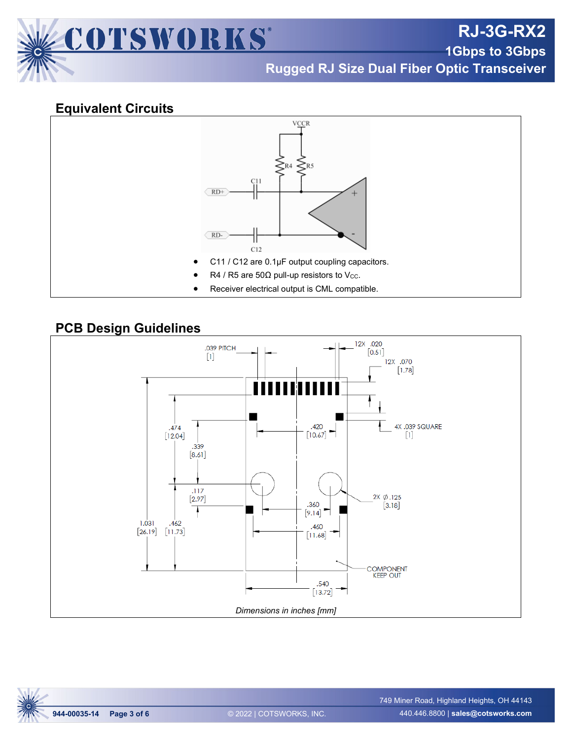

**RJ-3G-RX2**

**1Gbps to 3Gbps**

**Rugged RJ Size Dual Fiber Optic Transceiver**

## **Equivalent Circuits**



## **PCB Design Guidelines**



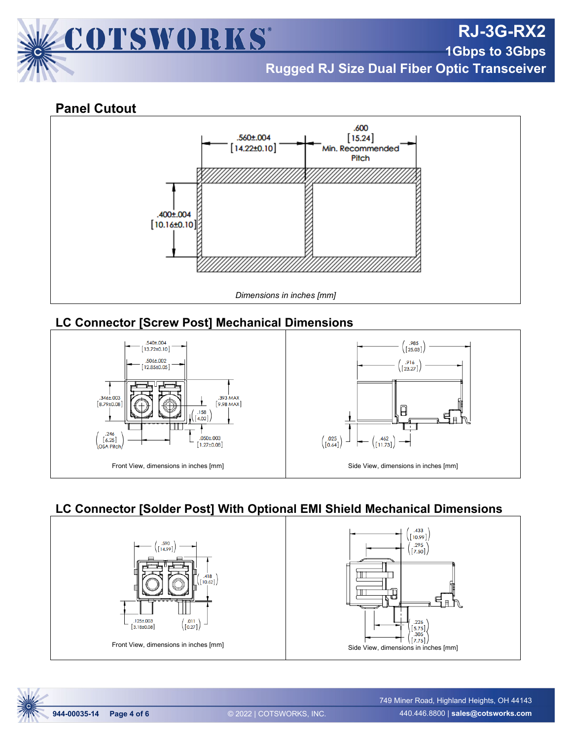

**RJ-3G-RX2**

**1Gbps to 3Gbps**

**Rugged RJ Size Dual Fiber Optic Transceiver**

## **Panel Cutout**



# **LC Connector [Screw Post] Mechanical Dimensions**



# **LC Connector [Solder Post] With Optional EMI Shield Mechanical Dimensions**



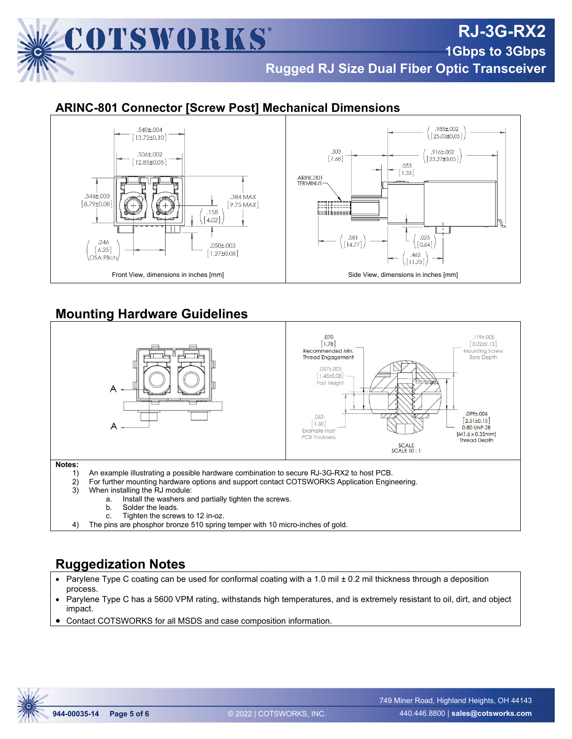

## **ARINC-801 Connector [Screw Post] Mechanical Dimensions**



# **Mounting Hardware Guidelines**



4) The pins are phosphor bronze 510 spring temper with 10 micro-inches of gold.

# **Ruggedization Notes**

- Parylene Type C coating can be used for conformal coating with a 1.0 mil ± 0.2 mil thickness through a deposition process.
- Parylene Type C has a 5600 VPM rating, withstands high temperatures, and is extremely resistant to oil, dirt, and object impact.
- Contact COTSWORKS for all MSDS and case composition information.



**RJ-3G-RX2**

**1Gbps to 3Gbps**